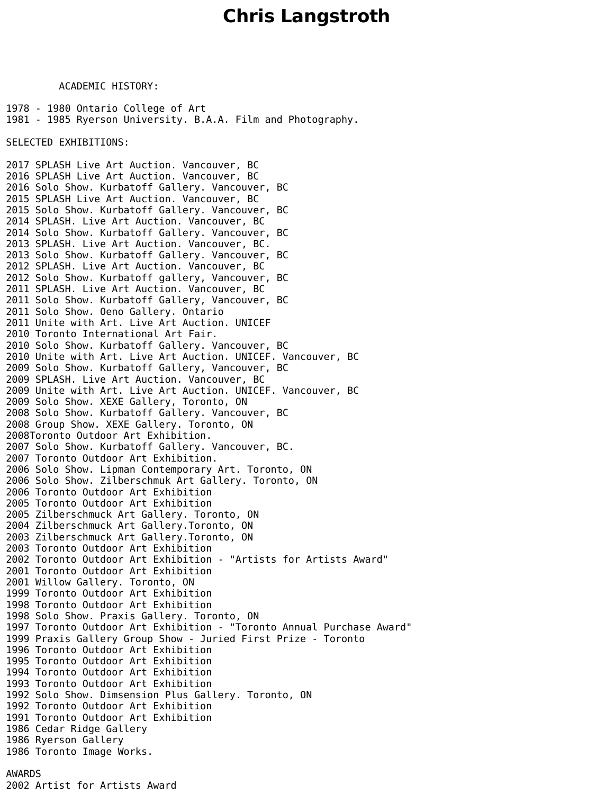## **Chris Langstroth**

ACADEMIC HISTORY:

1978 - 1980 Ontario College of Art 1981 - 1985 Ryerson University. B.A.A. Film and Photography.

SELECTED EXHIBITIONS:

2017 SPLASH Live Art Auction. Vancouver, BC 2016 SPLASH Live Art Auction. Vancouver, BC 2016 Solo Show. Kurbatoff Gallery. Vancouver, BC 2015 SPLASH Live Art Auction. Vancouver, BC 2015 Solo Show. Kurbatoff Gallery. Vancouver, 2014 SPLASH. Live Art Auction. Vancouver, BC 2014 Solo Show. Kurbatoff Gallery. Vancouver, BC 2013 SPLASH. Live Art Auction. Vancouver, BC. 2013 Solo Show. Kurbatoff Gallery. Vancouver, BC 2012 SPLASH. Live Art Auction. Vancouver, BC 2012 Solo Show. Kurbatoff gallery, Vancouver, BC 2011 SPLASH. Live Art Auction. Vancouver, BC 2011 Solo Show. Kurbatoff Gallery, Vancouver, BC 2011 Solo Show. Oeno Gallery. Ontario 2011 Unite with Art. Live Art Auction. UNICEF 2010 Toronto International Art Fair. 2010 Solo Show. Kurbatoff Gallery. Vancouver, BC 2010 Unite with Art. Live Art Auction. UNICEF. Vancouver, BC 2009 Solo Show. Kurbatoff Gallery, Vancouver, BC 2009 SPLASH. Live Art Auction. Vancouver, BC 2009 Unite with Art. Live Art Auction. UNICEF. Vancouver, BC 2009 Solo Show. XEXE Gallery, Toronto, ON 2008 Solo Show. Kurbatoff Gallery. Vancouver, BC 2008 Group Show. XEXE Gallery. Toronto, ON 2008Toronto Outdoor Art Exhibition. 2007 Solo Show. Kurbatoff Gallery. Vancouver, BC. 2007 Toronto Outdoor Art Exhibition. 2006 Solo Show. Lipman Contemporary Art. Toronto, ON 2006 Solo Show. Zilberschmuk Art Gallery. Toronto, ON 2006 Toronto Outdoor Art Exhibition 2005 Toronto Outdoor Art Exhibition 2005 Zilberschmuck Art Gallery. Toronto, ON 2004 Zilberschmuck Art Gallery.Toronto, ON 2003 Zilberschmuck Art Gallery.Toronto, ON 2003 Toronto Outdoor Art Exhibition 2002 Toronto Outdoor Art Exhibition - "Artists for Artists Award" 2001 Toronto Outdoor Art Exhibition 2001 Willow Gallery. Toronto, ON 1999 Toronto Outdoor Art Exhibition 1998 Toronto Outdoor Art Exhibition 1998 Solo Show. Praxis Gallery. Toronto, ON 1997 Toronto Outdoor Art Exhibition - "Toronto Annual Purchase Award" 1999 Praxis Gallery Group Show - Juried First Prize - Toronto 1996 Toronto Outdoor Art Exhibition 1995 Toronto Outdoor Art Exhibition 1994 Toronto Outdoor Art Exhibition 1993 Toronto Outdoor Art Exhibition 1992 Solo Show. Dimsension Plus Gallery. Toronto, ON 1992 Toronto Outdoor Art Exhibition 1991 Toronto Outdoor Art Exhibition 1986 Cedar Ridge Gallery 1986 Ryerson Gallery 1986 Toronto Image Works. AWARDS

2002 Artist for Artists Award